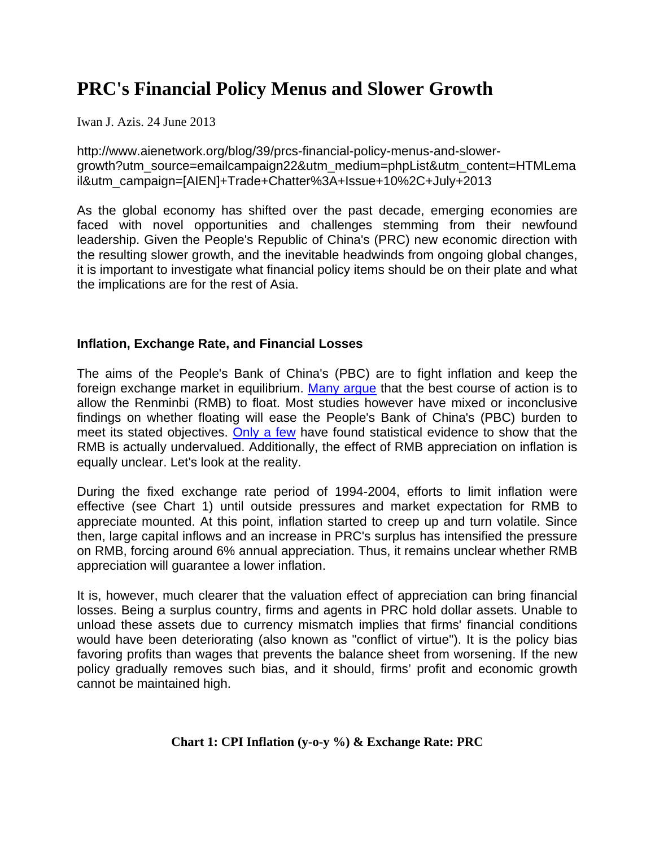# **PRC's Financial Policy Menus and Slower Growth**

Iwan J. Azis. 24 June 2013

http://www.aienetwork.org/blog/39/prcs-financial-policy-menus-and-slowergrowth?utm\_source=emailcampaign22&utm\_medium=phpList&utm\_content=HTMLema il&utm\_campaign=[AIEN]+Trade+Chatter%3A+Issue+10%2C+July+2013

As the global economy has shifted over the past decade, emerging economies are faced with novel opportunities and challenges stemming from their newfound leadership. Given the People's Republic of China's (PRC) new economic direction with the resulting slower growth, and the inevitable headwinds from ongoing global changes, it is important to investigate what financial policy items should be on their plate and what the implications are for the rest of Asia.

# **Inflation, Exchange Rate, and Financial Losses**

The aims of the People's Bank of China's (PBC) are to fight inflation and keep the foreign exchange market in equilibrium. Many argue that the best course of action is to allow the Renminbi (RMB) to float. Most studies however have mixed or inconclusive findings on whether floating will ease the People's Bank of China's (PBC) burden to meet its stated objectives. Only a few have found statistical evidence to show that the RMB is actually undervalued. Additionally, the effect of RMB appreciation on inflation is equally unclear. Let's look at the reality.

During the fixed exchange rate period of 1994-2004, efforts to limit inflation were effective (see Chart 1) until outside pressures and market expectation for RMB to appreciate mounted. At this point, inflation started to creep up and turn volatile. Since then, large capital inflows and an increase in PRC's surplus has intensified the pressure on RMB, forcing around 6% annual appreciation. Thus, it remains unclear whether RMB appreciation will guarantee a lower inflation.

It is, however, much clearer that the valuation effect of appreciation can bring financial losses. Being a surplus country, firms and agents in PRC hold dollar assets. Unable to unload these assets due to currency mismatch implies that firms' financial conditions would have been deteriorating (also known as "conflict of virtue"). It is the policy bias favoring profits than wages that prevents the balance sheet from worsening. If the new policy gradually removes such bias, and it should, firms' profit and economic growth cannot be maintained high.

# **Chart 1: CPI Inflation (y-o-y %) & Exchange Rate: PRC**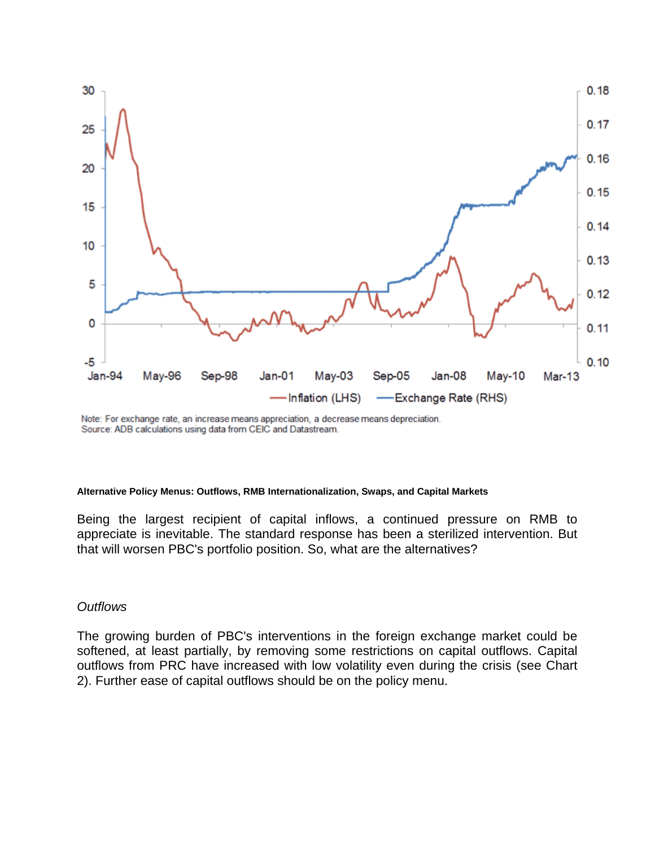

Note: For exchange rate, an increase means appreciation, a decrease means depreciation. Source: ADB calculations using data from CEIC and Datastream.

#### **Alternative Policy Menus: Outflows, RMB Internationalization, Swaps, and Capital Markets**

Being the largest recipient of capital inflows, a continued pressure on RMB to appreciate is inevitable. The standard response has been a sterilized intervention. But that will worsen PBC's portfolio position. So, what are the alternatives?

### *Outflows*

The growing burden of PBC's interventions in the foreign exchange market could be softened, at least partially, by removing some restrictions on capital outflows. Capital outflows from PRC have increased with low volatility even during the crisis (see Chart 2). Further ease of capital outflows should be on the policy menu.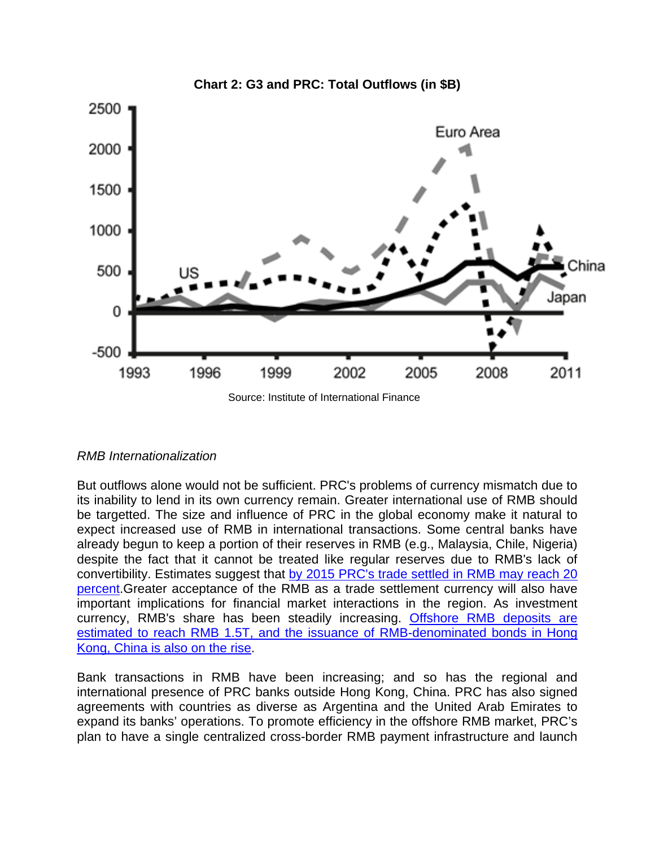

# *RMB Internationalization*

But outflows alone would not be sufficient. PRC's problems of currency mismatch due to its inability to lend in its own currency remain. Greater international use of RMB should be targetted. The size and influence of PRC in the global economy make it natural to expect increased use of RMB in international transactions. Some central banks have already begun to keep a portion of their reserves in RMB (e.g., Malaysia, Chile, Nigeria) despite the fact that it cannot be treated like regular reserves due to RMB's lack of convertibility. Estimates suggest that by 2015 PRC's trade settled in RMB may reach 20 percent.Greater acceptance of the RMB as a trade settlement currency will also have important implications for financial market interactions in the region. As investment currency, RMB's share has been steadily increasing. Offshore RMB deposits are estimated to reach RMB 1.5T, and the issuance of RMB-denominated bonds in Hong Kong, China is also on the rise.

Bank transactions in RMB have been increasing; and so has the regional and international presence of PRC banks outside Hong Kong, China. PRC has also signed agreements with countries as diverse as Argentina and the United Arab Emirates to expand its banks' operations. To promote efficiency in the offshore RMB market, PRC's plan to have a single centralized cross-border RMB payment infrastructure and launch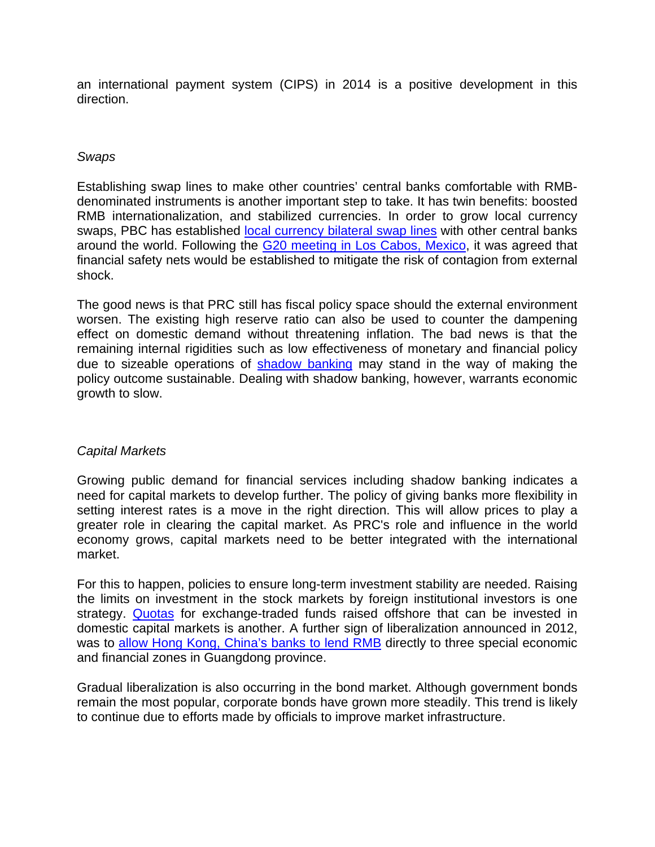an international payment system (CIPS) in 2014 is a positive development in this direction.

# *Swaps*

Establishing swap lines to make other countries' central banks comfortable with RMBdenominated instruments is another important step to take. It has twin benefits: boosted RMB internationalization, and stabilized currencies. In order to grow local currency swaps, PBC has established local currency bilateral swap lines with other central banks around the world. Following the G20 meeting in Los Cabos, Mexico, it was agreed that financial safety nets would be established to mitigate the risk of contagion from external shock.

The good news is that PRC still has fiscal policy space should the external environment worsen. The existing high reserve ratio can also be used to counter the dampening effect on domestic demand without threatening inflation. The bad news is that the remaining internal rigidities such as low effectiveness of monetary and financial policy due to sizeable operations of shadow banking may stand in the way of making the policy outcome sustainable. Dealing with shadow banking, however, warrants economic growth to slow.

### *Capital Markets*

Growing public demand for financial services including shadow banking indicates a need for capital markets to develop further. The policy of giving banks more flexibility in setting interest rates is a move in the right direction. This will allow prices to play a greater role in clearing the capital market. As PRC's role and influence in the world economy grows, capital markets need to be better integrated with the international market.

For this to happen, policies to ensure long-term investment stability are needed. Raising the limits on investment in the stock markets by foreign institutional investors is one strategy. Quotas for exchange-traded funds raised offshore that can be invested in domestic capital markets is another. A further sign of liberalization announced in 2012, was to allow Hong Kong, China's banks to lend RMB directly to three special economic and financial zones in Guangdong province.

Gradual liberalization is also occurring in the bond market. Although government bonds remain the most popular, corporate bonds have grown more steadily. This trend is likely to continue due to efforts made by officials to improve market infrastructure.